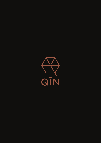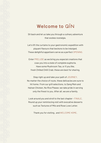# **Welcome to**

Sit back and let us take you through a culinary adventure that evokes nostalgia.

Let's lift the curtains to your gastronomic expedition with piquant flavours that beckons to be indulged. These delightful appetisers serve as a perfect OPENING.

Enter PRELUDE as we bring you especial creations that coax you into a state of complete euphoria. Have some Mushroom Tea, or if you like, fresh Chilled Chilli Crab; these are best for sharing.

Step right up and take your path of JOURNEY. No matter the choice of route, these delicacies are sure to hit home. From our grill selections, to Sang Mein and Hainan Chicken, No Rice Please; we take pride in serving only the finest to you. After all, we are a family.

Look around you and stroll to the last chapter - FINALE. Round up your reminiscing visit with evocative desserts such as Textures of Milo and Rose Love Letter.

Thank you for visiting.. and WELCOME HOME.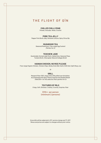# **THE FLIGHT OF Q Ī N**

### **CHILLED CHILLI CRAB**

*Pomelo, Avocado, Herbs, Crostini*

### **PORK TEA JELLY**

*Pepper Pork Broth Jelly, Romaine Lettuce, Spicy Citrus Dip*

### **MUSHROOM TEA**

*Seasonal Mushroom, Free-range Egg Custard (Perfect for 2)*

#### **TEOCHEW JADE**

*Sustainably-farmed Jade Perch, Salted Ume, Seasonal Peas, Tomato Broth, Chlorophyll, Natural Collagen Broth*

### **HAINAN CHICKEN, NO RICE PLEASE**

*Free-range Organic Chicken, Chicken Chips, Barley Grain Ball, Garlic Chilli Aioli, Split Shoyu Jus*

*Or*

#### **GRILL**

*Margaret River 100% Angus Short Rib grilled over binchōtan. Accompanied with Spicy Peanut Espuma and Sambal Matah (Add \$30++ for this selection that's perfect for 2)*

#### **TEXTURES OF MILO**

*Crispy, Soft, Dinosaur, Creamy, Crunchy, Surprise, Roar*

## **\$110++ per person (minimum 2 persons)**

*Gross bills will be subjected to 10% service charge and 7% GST. Menus and prices are subject to changes without prior notice.*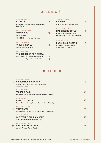# **OPENING** 初

#### **CIRCA 1200, INDONESIA**

| CIRCA 1200, INDONESIA                                       |    | CIRCA 1920, JAPAN                          |  |  |
|-------------------------------------------------------------|----|--------------------------------------------|--|--|
| <b>BELINJAU</b>                                             | 8  | <b>CURRYAGE</b>                            |  |  |
| Crisp Bittersweet Nut Crackers, Asian Salsa,<br>Local Herbs |    | Chicken Karrage, QIN's Curry Spice         |  |  |
|                                                             |    | CIRCA 1970, SINGAPORE                      |  |  |
| CIRCA 1700, ENGLAND                                         |    | <b>HAR CHEONG STYLE</b>                    |  |  |
| <b>OIN'S CHIPS</b>                                          | 10 | <b>Fried Fermented Prawn-paste</b>         |  |  |
| Garlic Chilli Aioli                                         |    | <b>Chicken Wing. Served with Calamansi</b> |  |  |
| <b>CHOICE OF</b><br>$(1)$ Kosong $(2)$<br>'Mala'            |    |                                            |  |  |
|                                                             |    | CIRCA 300, CHINA                           |  |  |
| CIRCA 1789, MEXICO                                          |    | <b>LAPCHEONG POTATO</b>                    |  |  |
| <b>CHICHARRONES</b>                                         | 15 | Potato and Chinese Sausage                 |  |  |
| Firecracker Sichuan Spice                                   |    | <b>Casserole with Scallions</b>            |  |  |
| CIRCA 1900, INDIA                                           |    |                                            |  |  |
| <b>THUNDERCLAP ROTI PRATA</b>                               |    |                                            |  |  |
| CHOICE OF<br><b>Black Garlic Emulsion</b><br>(1)            | 10 |                                            |  |  |
| Truffle, Eggs Mimosa<br>(2)                                 | 12 |                                            |  |  |

# **PRELUDE** 序

|                               | CIRCA 1700, JAPAN                                          |                   |
|-------------------------------|------------------------------------------------------------|-------------------|
|                               | <b>SIPHON MUSHROOM TEA</b>                                 | 58                |
|                               | Seasonal Mushroom, Free-range Egg Custard                  |                   |
|                               | Good for 2-4 persons                                       |                   |
|                               | CIRCA 1081, CHINA                                          |                   |
|                               | <b>'DONGPO' PORK</b>                                       | 18                |
|                               | Lotus Leaf Bun, 48-hour Slow Braised Pork Belly, Lettuce   |                   |
|                               | CIRCA 1850, CHINA                                          |                   |
|                               | <b>PORK TEA JELLY</b>                                      | 18                |
|                               | Pepper Pork Broth Jelly, Romaine Lettuce, Spicy Citrus Dip |                   |
|                               | CIRCA 2000, CANADA                                         |                   |
| $\langle \mathsf{VG} \rangle$ | <b>OIN'S SLAW</b>                                          | $22 \overline{)}$ |
|                               | Fresh Greens, Peanuts, Citrus, Torch Ginger Plum Dressing  |                   |
|                               | CIRCA 1812, FRANCE                                         |                   |
|                               | <b>BUTTERNUT PUMPKIN SOUP</b>                              | 18                |
|                               | Maple-glazed Pumpkin, Pine Nuts, Curry Oil                 |                   |
|                               | CIRCA 1956, SINGAPORE                                      |                   |
|                               | <b>CHILLED CHILLI CRAB</b>                                 | 25                |
|                               | Pomelo, Avocado, Herbs, Crostini                           |                   |

**8**

**9**

**8**